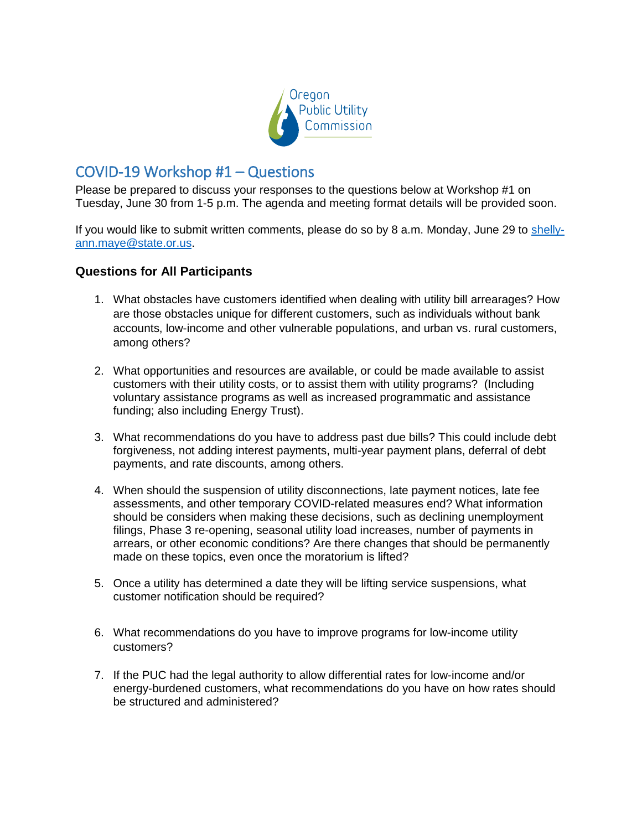

## COVID-19 Workshop #1 – Questions

Please be prepared to discuss your responses to the questions below at Workshop #1 on Tuesday, June 30 from 1-5 p.m. The agenda and meeting format details will be provided soon.

If you would like to submit written comments, please do so by 8 a.m. Monday, June 29 to [shelly](mailto:shelly-ann.maye@state.or.us)[ann.maye@state.or.us.](mailto:shelly-ann.maye@state.or.us)

## **Questions for All Participants**

- 1. What obstacles have customers identified when dealing with utility bill arrearages? How are those obstacles unique for different customers, such as individuals without bank accounts, low-income and other vulnerable populations, and urban vs. rural customers, among others?
- 2. What opportunities and resources are available, or could be made available to assist customers with their utility costs, or to assist them with utility programs? (Including voluntary assistance programs as well as increased programmatic and assistance funding; also including Energy Trust).
- 3. What recommendations do you have to address past due bills? This could include debt forgiveness, not adding interest payments, multi-year payment plans, deferral of debt payments, and rate discounts, among others.
- 4. When should the suspension of utility disconnections, late payment notices, late fee assessments, and other temporary COVID-related measures end? What information should be considers when making these decisions, such as declining unemployment filings, Phase 3 re-opening, seasonal utility load increases, number of payments in arrears, or other economic conditions? Are there changes that should be permanently made on these topics, even once the moratorium is lifted?
- 5. Once a utility has determined a date they will be lifting service suspensions, what customer notification should be required?
- 6. What recommendations do you have to improve programs for low-income utility customers?
- 7. If the PUC had the legal authority to allow differential rates for low-income and/or energy-burdened customers, what recommendations do you have on how rates should be structured and administered?